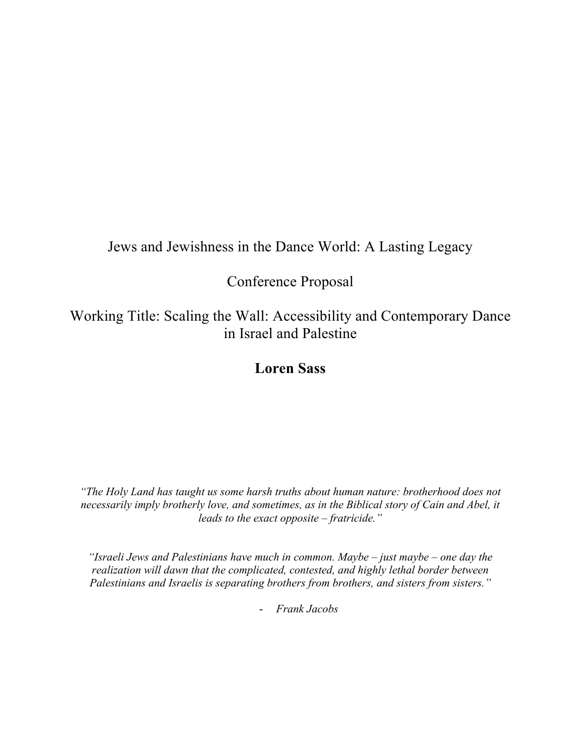# Jews and Jewishness in the Dance World: A Lasting Legacy

# Conference Proposal

Working Title: Scaling the Wall: Accessibility and Contemporary Dance in Israel and Palestine

# **Loren Sass**

*"The Holy Land has taught us some harsh truths about human nature: brotherhood does not necessarily imply brotherly love, and sometimes, as in the Biblical story of Cain and Abel, it leads to the exact opposite – fratricide."*

*"Israeli Jews and Palestinians have much in common. Maybe – just maybe – one day the realization will dawn that the complicated, contested, and highly lethal border between Palestinians and Israelis is separating brothers from brothers, and sisters from sisters."*

- *Frank Jacobs*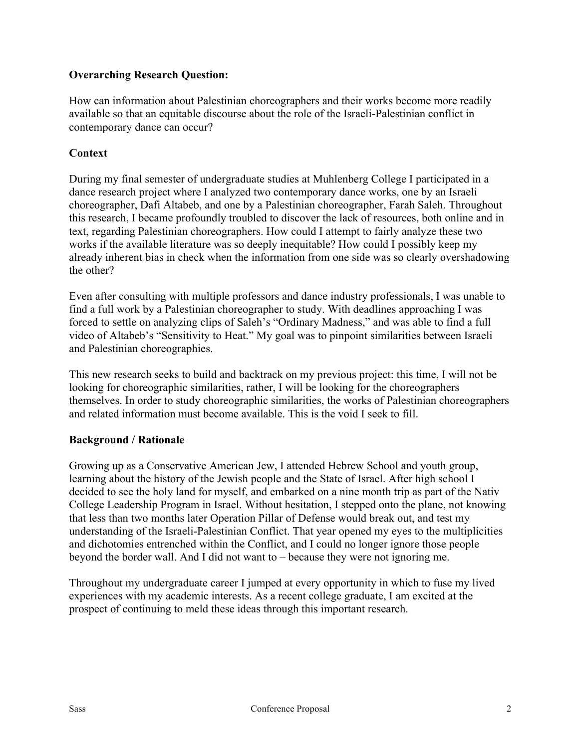## **Overarching Research Question:**

How can information about Palestinian choreographers and their works become more readily available so that an equitable discourse about the role of the Israeli-Palestinian conflict in contemporary dance can occur?

#### **Context**

During my final semester of undergraduate studies at Muhlenberg College I participated in a dance research project where I analyzed two contemporary dance works, one by an Israeli choreographer, Dafi Altabeb, and one by a Palestinian choreographer, Farah Saleh. Throughout this research, I became profoundly troubled to discover the lack of resources, both online and in text, regarding Palestinian choreographers. How could I attempt to fairly analyze these two works if the available literature was so deeply inequitable? How could I possibly keep my already inherent bias in check when the information from one side was so clearly overshadowing the other?

Even after consulting with multiple professors and dance industry professionals, I was unable to find a full work by a Palestinian choreographer to study. With deadlines approaching I was forced to settle on analyzing clips of Saleh's "Ordinary Madness," and was able to find a full video of Altabeb's "Sensitivity to Heat." My goal was to pinpoint similarities between Israeli and Palestinian choreographies.

This new research seeks to build and backtrack on my previous project: this time, I will not be looking for choreographic similarities, rather, I will be looking for the choreographers themselves. In order to study choreographic similarities, the works of Palestinian choreographers and related information must become available. This is the void I seek to fill.

#### **Background / Rationale**

Growing up as a Conservative American Jew, I attended Hebrew School and youth group, learning about the history of the Jewish people and the State of Israel. After high school I decided to see the holy land for myself, and embarked on a nine month trip as part of the Nativ College Leadership Program in Israel. Without hesitation, I stepped onto the plane, not knowing that less than two months later Operation Pillar of Defense would break out, and test my understanding of the Israeli-Palestinian Conflict. That year opened my eyes to the multiplicities and dichotomies entrenched within the Conflict, and I could no longer ignore those people beyond the border wall. And I did not want to – because they were not ignoring me.

Throughout my undergraduate career I jumped at every opportunity in which to fuse my lived experiences with my academic interests. As a recent college graduate, I am excited at the prospect of continuing to meld these ideas through this important research.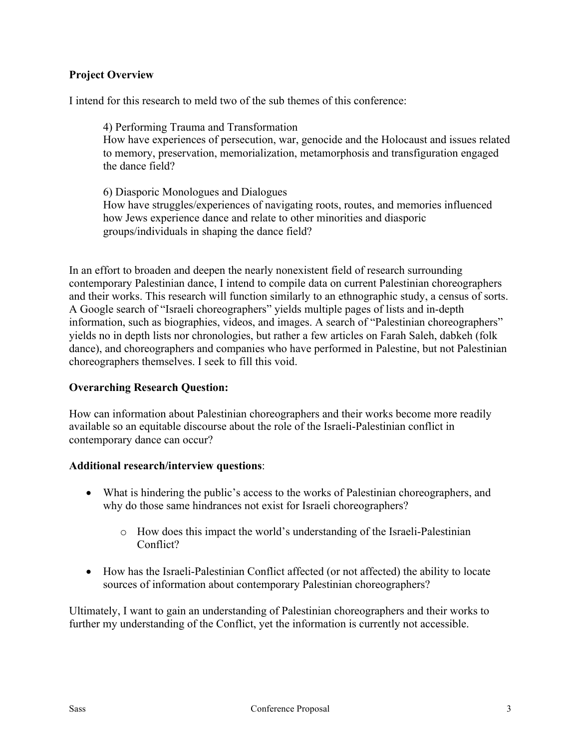## **Project Overview**

I intend for this research to meld two of the sub themes of this conference:

4) Performing Trauma and Transformation How have experiences of persecution, war, genocide and the Holocaust and issues related to memory, preservation, memorialization, metamorphosis and transfiguration engaged the dance field?

6) Diasporic Monologues and Dialogues How have struggles/experiences of navigating roots, routes, and memories influenced how Jews experience dance and relate to other minorities and diasporic groups/individuals in shaping the dance field?

In an effort to broaden and deepen the nearly nonexistent field of research surrounding contemporary Palestinian dance, I intend to compile data on current Palestinian choreographers and their works. This research will function similarly to an ethnographic study, a census of sorts. A Google search of "Israeli choreographers" yields multiple pages of lists and in-depth information, such as biographies, videos, and images. A search of "Palestinian choreographers" yields no in depth lists nor chronologies, but rather a few articles on Farah Saleh, dabkeh (folk dance), and choreographers and companies who have performed in Palestine, but not Palestinian choreographers themselves. I seek to fill this void.

## **Overarching Research Question:**

How can information about Palestinian choreographers and their works become more readily available so an equitable discourse about the role of the Israeli-Palestinian conflict in contemporary dance can occur?

#### **Additional research/interview questions**:

- What is hindering the public's access to the works of Palestinian choreographers, and why do those same hindrances not exist for Israeli choreographers?
	- o How does this impact the world's understanding of the Israeli-Palestinian Conflict?
- How has the Israeli-Palestinian Conflict affected (or not affected) the ability to locate sources of information about contemporary Palestinian choreographers?

Ultimately, I want to gain an understanding of Palestinian choreographers and their works to further my understanding of the Conflict, yet the information is currently not accessible.